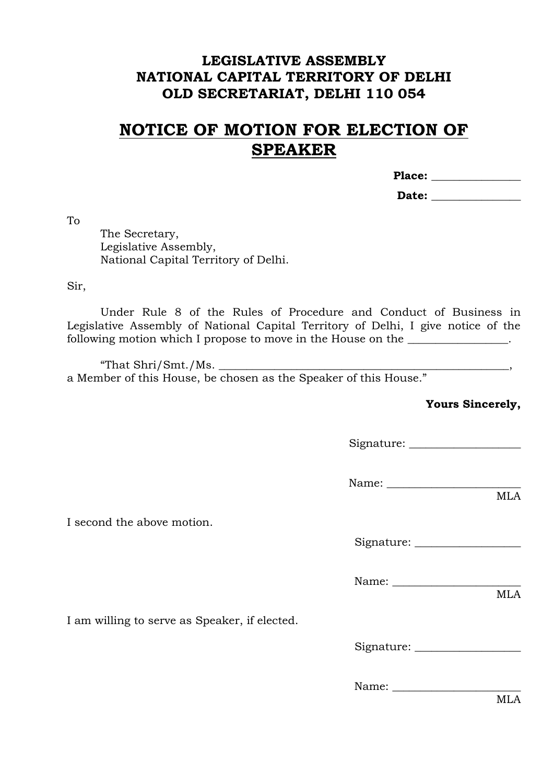## **LEGISLATIVE ASSEMBLY NATIONAL CAPITAL TERRITORY OF DELHI OLD SECRETARIAT, DELHI 110 054**

## **NOTICE OF MOTION FOR ELECTION OF SPEAKER**

**Place: \_\_\_\_\_\_\_\_\_\_\_\_\_\_\_\_**

Date:

To

The Secretary, Legislative Assembly, National Capital Territory of Delhi.

Sir,

Under Rule 8 of the Rules of Procedure and Conduct of Business in Legislative Assembly of National Capital Territory of Delhi, I give notice of the following motion which I propose to move in the House on the \_\_\_\_\_\_\_\_\_\_\_\_\_\_\_.

"That  $\text{Shri}/\text{Smt.}/\text{Ms}.$ a Member of this House, be chosen as the Speaker of this House."

**Yours Sincerely,**

Signature: \_\_\_\_\_\_\_\_\_\_\_\_\_\_\_\_\_\_\_\_

Name: \_\_\_\_\_\_\_\_\_\_\_\_\_\_\_\_\_\_\_\_\_\_\_\_

I second the above motion.

Signature: \_\_\_\_\_\_\_\_\_\_\_\_\_\_\_\_\_\_\_

Name: \_\_\_\_\_\_\_\_\_\_\_\_\_\_\_\_\_\_\_\_\_\_\_

I am willing to serve as Speaker, if elected.

Signature: \_\_\_\_\_\_\_\_\_\_\_\_\_\_\_\_\_\_\_

Name:

MLA

MLA

MLA